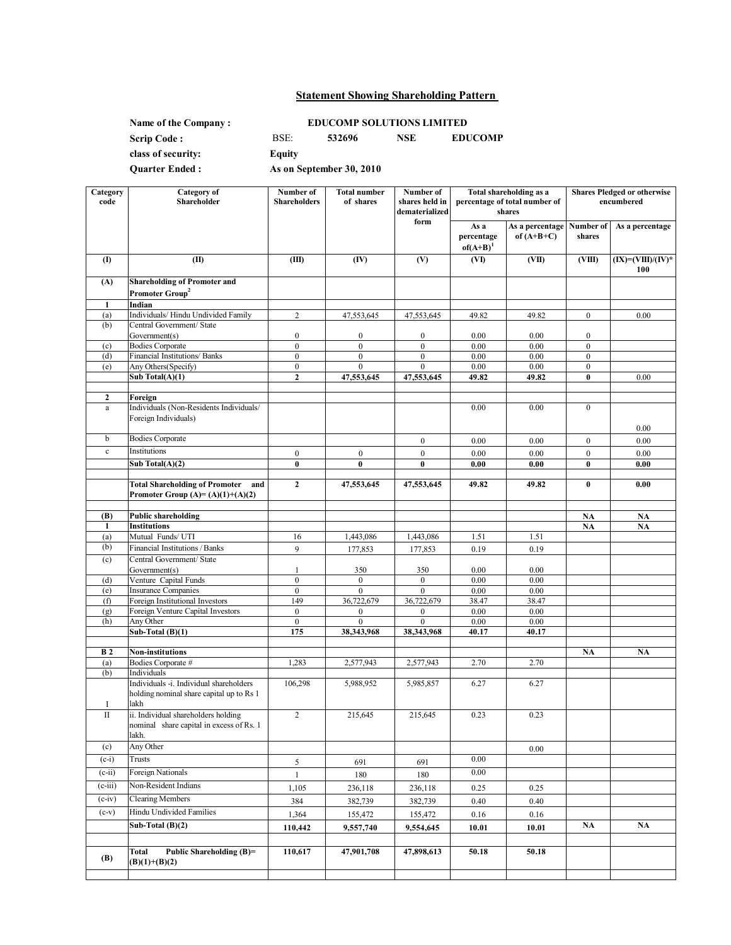# **Statement Showing Shareholding Pattern**

**Name of the Company : Scrip Code :** BSE: **532696 NSE EDUCOMP class of security: Quarter Ended : EDUCOMP SOLUTIONS LIMITED Equity As on September 30, 2010**

| Category<br>code | <b>Category</b> of<br>Shareholder                                                        | Number of<br><b>Shareholders</b> | <b>Total number</b><br>of shares     | Number of<br>shares held in<br>dematerialized<br>form | Total shareholding as a<br>percentage of total number of<br>shares |                                 | <b>Shares Pledged or otherwise</b><br>encumbered |                                                  |
|------------------|------------------------------------------------------------------------------------------|----------------------------------|--------------------------------------|-------------------------------------------------------|--------------------------------------------------------------------|---------------------------------|--------------------------------------------------|--------------------------------------------------|
|                  |                                                                                          |                                  |                                      |                                                       | As a<br>percentage<br>$of(A+B)^1$                                  | As a percentage<br>of $(A+B+C)$ | Number of<br>shares                              | As a percentage                                  |
| $\mathbf{I}$     | (II)                                                                                     | (III)                            | (IV)                                 | (V)                                                   | (VI)                                                               | (VII)                           | (VIII)                                           | $(\text{IX})=(\text{VIII})/(\text{IV})^*$<br>100 |
| (A)              | <b>Shareholding of Promoter and</b><br>Promoter Group <sup>2</sup>                       |                                  |                                      |                                                       |                                                                    |                                 |                                                  |                                                  |
| 1                | Indian                                                                                   |                                  |                                      |                                                       |                                                                    |                                 |                                                  |                                                  |
| (a)              | Individuals/Hindu Undivided Family                                                       | $\overline{c}$                   | 47,553,645                           | 47,553,645                                            | 49.82                                                              | 49.82                           | $\boldsymbol{0}$                                 | 0.00                                             |
| (b)              | Central Government/ State                                                                |                                  |                                      |                                                       |                                                                    |                                 |                                                  |                                                  |
| (c)              | Government(s)<br><b>Bodies Corporate</b>                                                 | $\mathbf{0}$<br>$\boldsymbol{0}$ | $\boldsymbol{0}$<br>$\boldsymbol{0}$ | $\boldsymbol{0}$<br>$\boldsymbol{0}$                  | 0.00<br>0.00                                                       | 0.00<br>0.00                    | $\bf{0}$<br>$\boldsymbol{0}$                     |                                                  |
| (d)              | Financial Institutions/ Banks                                                            | $\boldsymbol{0}$                 | $\boldsymbol{0}$                     | $\boldsymbol{0}$                                      | 0.00                                                               | 0.00                            | $\boldsymbol{0}$                                 |                                                  |
| (e)              | Any Others(Specify)                                                                      | $\boldsymbol{0}$                 | $\mathbf{0}$                         | $\mathbf{0}$                                          | 0.00                                                               | 0.00                            | $\boldsymbol{0}$                                 |                                                  |
|                  | Sub Total(A)(1)                                                                          | $\mathbf{2}$                     | 47,553,645                           | 47,553,645                                            | 49.82                                                              | 49.82                           | $\bf{0}$                                         | 0.00                                             |
| $\overline{2}$   |                                                                                          |                                  |                                      |                                                       |                                                                    |                                 |                                                  |                                                  |
| a                | Foreign<br>Individuals (Non-Residents Individuals/                                       |                                  |                                      |                                                       | 0.00                                                               | 0.00                            | $\boldsymbol{0}$                                 |                                                  |
|                  | Foreign Individuals)                                                                     |                                  |                                      |                                                       |                                                                    |                                 |                                                  | 0.00                                             |
| b                | <b>Bodies Corporate</b>                                                                  |                                  |                                      | $\boldsymbol{0}$                                      | 0.00                                                               | 0.00                            | $\boldsymbol{0}$                                 | 0.00                                             |
| $\mathbf c$      | Institutions                                                                             | $\boldsymbol{0}$                 | $\boldsymbol{0}$                     | $\boldsymbol{0}$                                      | 0.00                                                               | 0.00                            | $\boldsymbol{0}$                                 | 0.00                                             |
|                  | Sub Total $(A)(2)$                                                                       | $\bf{0}$                         | $\bf{0}$                             | $\bf{0}$                                              | 0.00                                                               | 0.00                            | $\bf{0}$                                         | 0.00                                             |
|                  |                                                                                          |                                  |                                      |                                                       |                                                                    |                                 |                                                  |                                                  |
|                  | <b>Total Shareholding of Promoter</b><br>and<br>Promoter Group $(A)=(A)(1)+(A)(2)$       | $\mathbf{2}$                     | 47,553,645                           | 47,553,645                                            | 49.82                                                              | 49.82                           | $\bf{0}$                                         | 0.00                                             |
| (B)              | <b>Public shareholding</b>                                                               |                                  |                                      |                                                       |                                                                    |                                 | <b>NA</b>                                        | <b>NA</b>                                        |
| 1                | <b>Institutions</b>                                                                      |                                  |                                      |                                                       |                                                                    |                                 | <b>NA</b>                                        | <b>NA</b>                                        |
| (a)              | Mutual Funds/ UTI                                                                        | 16                               | 1,443,086                            | 1,443,086                                             | 1.51                                                               | 1.51                            |                                                  |                                                  |
| (b)              | Financial Institutions / Banks                                                           | 9                                | 177,853                              | 177,853                                               | 0.19                                                               | 0.19                            |                                                  |                                                  |
| (c)              | Central Government/ State<br>Government(s)                                               | 1                                | 350                                  | 350                                                   | 0.00                                                               | 0.00                            |                                                  |                                                  |
| (d)              | Venture Capital Funds                                                                    | $\boldsymbol{0}$                 | $\mathbf{0}$                         | $\mathbf{0}$                                          | 0.00                                                               | 0.00                            |                                                  |                                                  |
| (e)              | <b>Insurance Companies</b>                                                               | $\bf{0}$                         | $\boldsymbol{0}$                     | $\boldsymbol{0}$                                      | 0.00                                                               | 0.00                            |                                                  |                                                  |
| (f)              | Foreign Institutional Investors                                                          | 149                              | 36,722,679                           | $\overline{36,722,679}$                               | 38.47                                                              | 38.47                           |                                                  |                                                  |
| (g)              | Foreign Venture Capital Investors                                                        | $\boldsymbol{0}$                 | $\boldsymbol{0}$                     | $\boldsymbol{0}$                                      | 0.00                                                               | 0.00                            |                                                  |                                                  |
| (h)              | Any Other<br>$\overline{\text{Sub}}$ -Total (B)(1)                                       | $\boldsymbol{0}$<br>175          | $\overline{0}$<br>38,343,968         | $\mathbf{0}$<br>38,343,968                            | 0.00                                                               | 0.00                            |                                                  |                                                  |
|                  |                                                                                          |                                  |                                      |                                                       | 40.17                                                              | 40.17                           |                                                  |                                                  |
| <b>B2</b>        | <b>Non-institutions</b>                                                                  |                                  |                                      |                                                       |                                                                    |                                 | <b>NA</b>                                        | <b>NA</b>                                        |
| (a)              | Bodies Corporate #                                                                       | 1,283                            | 2,577,943                            | 2,577,943                                             | 2.70                                                               | 2.70                            |                                                  |                                                  |
| (b)              | Individuals                                                                              |                                  |                                      |                                                       |                                                                    |                                 |                                                  |                                                  |
|                  | Individuals -i. Individual shareholders<br>holding nominal share capital up to Rs 1      | 106,298                          | 5,988,952                            | 5,985,857                                             | 6.27                                                               | 6.27                            |                                                  |                                                  |
| Ι                | lakh                                                                                     |                                  |                                      |                                                       |                                                                    |                                 |                                                  |                                                  |
| $\mathbf{I}$     | ii. Individual shareholders holding<br>nominal share capital in excess of Rs. 1<br>lakh. | $\overline{c}$                   | 215,645                              | 215,645                                               | 0.23                                                               | 0.23                            |                                                  |                                                  |
| (c)              | Any Other                                                                                |                                  |                                      |                                                       |                                                                    | 0.00                            |                                                  |                                                  |
| $(c-i)$          | Trusts                                                                                   | 5                                | 691                                  | 691                                                   | 0.00                                                               |                                 |                                                  |                                                  |
| $(c-ii)$         | <b>Foreign Nationals</b>                                                                 | $\mathbf{1}$                     | 180                                  | 180                                                   | 0.00                                                               |                                 |                                                  |                                                  |
| $(c-iii)$        | Non-Resident Indians                                                                     | 1,105                            | 236,118                              | 236,118                                               | 0.25                                                               | 0.25                            |                                                  |                                                  |
| $(c-iv)$         | <b>Clearing Members</b>                                                                  |                                  |                                      |                                                       |                                                                    |                                 |                                                  |                                                  |
| $(c-v)$          | Hindu Undivided Families                                                                 | 384                              | 382,739                              | 382,739                                               | 0.40                                                               | 0.40                            |                                                  |                                                  |
|                  | Sub-Total $(B)(2)$                                                                       | 1,364                            | 155,472                              | 155,472                                               | 0.16                                                               | 0.16                            | NA                                               | NA                                               |
|                  |                                                                                          | 110,442                          | 9,557,740                            | 9,554,645                                             | 10.01                                                              | 10.01                           |                                                  |                                                  |
| (B)              | Public Shareholding (B)=<br>Total<br>$(B)(1)+(B)(2)$                                     | 110,617                          | 47,901,708                           | 47,898,613                                            | 50.18                                                              | 50.18                           |                                                  |                                                  |
|                  |                                                                                          |                                  |                                      |                                                       |                                                                    |                                 |                                                  |                                                  |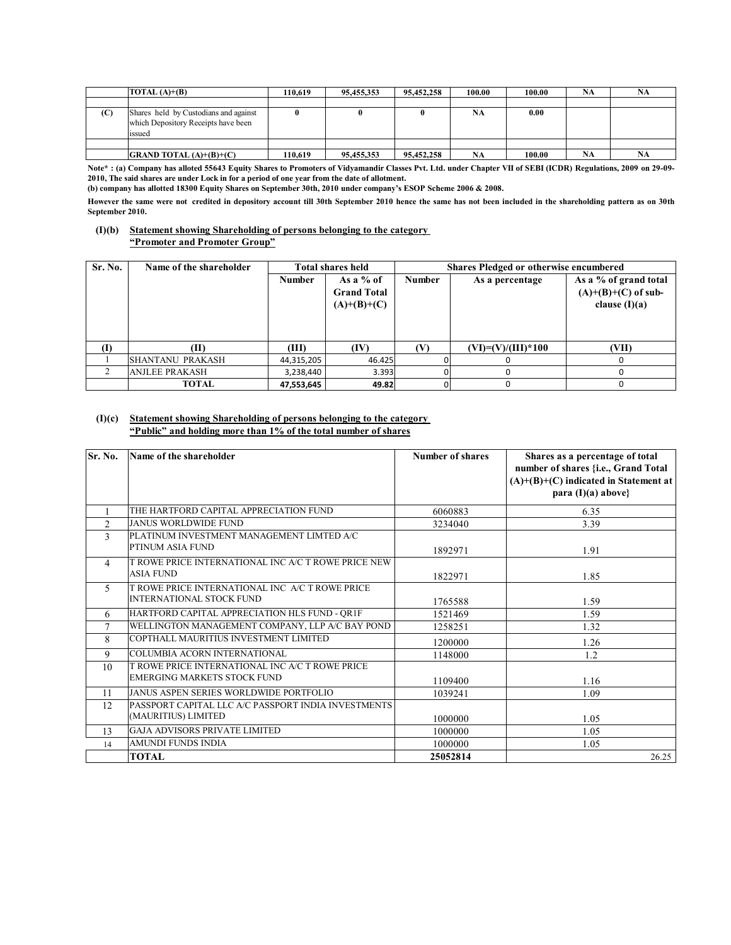|     | TOTAL $(A)+(B)$                                                                        | 110.619 | 95,455,353 | 95,452,258 | 100.00 | 100.00 | <b>NA</b> | NA |
|-----|----------------------------------------------------------------------------------------|---------|------------|------------|--------|--------|-----------|----|
|     |                                                                                        |         |            |            |        |        |           |    |
| (C) | Shares held by Custodians and against<br>which Depository Receipts have been<br>issued |         |            |            | NA     | 0.00   |           |    |
|     |                                                                                        |         |            |            |        |        |           |    |
|     | $G$ RAND TOTAL $(A)+(B)+(C)$                                                           | 110.619 | 95.455.353 | 95,452,258 | NA     | 100.00 | <b>NA</b> | NA |

**Note\* : (a) Company has alloted 55643 Equity Shares to Promoters of Vidyamandir Classes Pvt. Ltd. under Chapter VII of SEBI (ICDR) Regulations, 2009 on 29-09- 2010, The said shares are under Lock in for a period of one year from the date of allotment.**

**(b) company has allotted 18300 Equity Shares on September 30th, 2010 under company's ESOP Scheme 2006 & 2008.**

**However the same were not credited in depository account till 30th September 2010 hence the same has not been included in the shareholding pattern as on 30th September 2010.** 

## **(I)(b) Statement showing Shareholding of persons belonging to the category "Promoter and Promoter Group"**

| Sr. No.        | Name of the shareholder |               | <b>Total shares held</b>                         | Shares Pledged or otherwise encumbered |                      |                                                                   |  |
|----------------|-------------------------|---------------|--------------------------------------------------|----------------------------------------|----------------------|-------------------------------------------------------------------|--|
|                |                         | <b>Number</b> | As a % of<br><b>Grand Total</b><br>$(A)+(B)+(C)$ | <b>Number</b>                          | As a percentage      | As a % of grand total<br>$(A)+(B)+(C)$ of sub-<br>clause $(I)(a)$ |  |
| $\rm(I)$       | TD.                     | (III)         | (IV)                                             | (V                                     | $(VI)=(V)/(III)*100$ | (VII)                                                             |  |
|                | <b>SHANTANU PRAKASH</b> | 44,315,205    | 46.425                                           |                                        |                      | $\Omega$                                                          |  |
| $\mathfrak{D}$ | <b>ANJLEE PRAKASH</b>   | 3,238,440     | 3.393                                            |                                        |                      | $\Omega$                                                          |  |
|                | TOTAL                   | 47,553,645    | 49.82                                            |                                        |                      | 0                                                                 |  |

### **(I)(c) Statement showing Shareholding of persons belonging to the category "Public" and holding more than 1% of the total number of shares**

| Sr. No.        | Name of the shareholder                                                               | Number of shares | Shares as a percentage of total<br>number of shares {i.e., Grand Total<br>$(A)+(B)+(C)$ indicated in Statement at<br>para $(I)(a)$ above} |
|----------------|---------------------------------------------------------------------------------------|------------------|-------------------------------------------------------------------------------------------------------------------------------------------|
|                | THE HARTFORD CAPITAL APPRECIATION FUND                                                | 6060883          | 6.35                                                                                                                                      |
| 2              | <b>JANUS WORLDWIDE FUND</b>                                                           | 3234040          | 3.39                                                                                                                                      |
| 3              | PLATINUM INVESTMENT MANAGEMENT LIMTED A/C<br>PTINUM ASIA FUND                         | 1892971          | 1.91                                                                                                                                      |
| $\overline{4}$ | T ROWE PRICE INTERNATIONAL INC A/C T ROWE PRICE NEW<br><b>ASIA FUND</b>               | 1822971          | 1.85                                                                                                                                      |
| 5              | T ROWE PRICE INTERNATIONAL INC A/C T ROWE PRICE<br><b>INTERNATIONAL STOCK FUND</b>    | 1765588          | 1.59                                                                                                                                      |
| 6              | HARTFORD CAPITAL APPRECIATION HLS FUND - OR1F                                         | 1521469          | 1.59                                                                                                                                      |
| $\tau$         | WELLINGTON MANAGEMENT COMPANY, LLP A/C BAY POND                                       | 1258251          | 1.32                                                                                                                                      |
| 8              | COPTHALL MAURITIUS INVESTMENT LIMITED                                                 | 1200000          | 1.26                                                                                                                                      |
| 9              | COLUMBIA ACORN INTERNATIONAL                                                          | 1148000          | 1.2                                                                                                                                       |
| 10             | T ROWE PRICE INTERNATIONAL INC A/C T ROWE PRICE<br><b>EMERGING MARKETS STOCK FUND</b> | 1109400          | 1.16                                                                                                                                      |
| 11             | <b>JANUS ASPEN SERIES WORLDWIDE PORTFOLIO</b>                                         | 1039241          | 1.09                                                                                                                                      |
| 12             | PASSPORT CAPITAL LLC A/C PASSPORT INDIA INVESTMENTS<br>(MAURITIUS) LIMITED            | 1000000          | 1.05                                                                                                                                      |
| 13             | GAJA ADVISORS PRIVATE LIMITED                                                         | 1000000          | 1.05                                                                                                                                      |
| 14             | AMUNDI FUNDS INDIA                                                                    | 1000000          | 1.05                                                                                                                                      |
|                | <b>TOTAL</b>                                                                          | 25052814         | 26.25                                                                                                                                     |